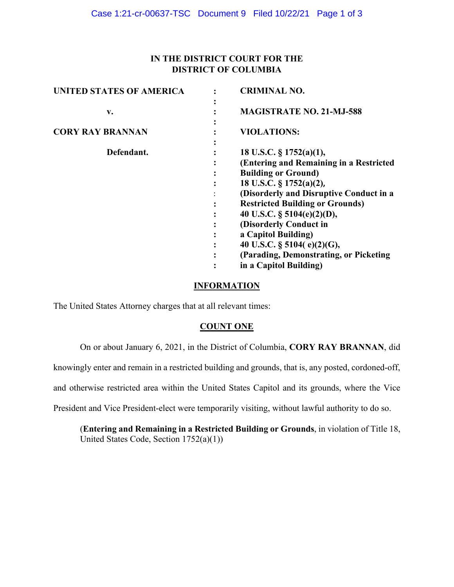# **IN THE DISTRICT COURT FOR THE DISTRICT OF COLUMBIA**

| <b>UNITED STATES OF AMERICA</b> |                  | <b>CRIMINAL NO.</b>                                                                                                                                                                                                                                                                                                                                                                                   |
|---------------------------------|------------------|-------------------------------------------------------------------------------------------------------------------------------------------------------------------------------------------------------------------------------------------------------------------------------------------------------------------------------------------------------------------------------------------------------|
| v.                              |                  | <b>MAGISTRATE NO. 21-MJ-588</b>                                                                                                                                                                                                                                                                                                                                                                       |
| <b>CORY RAY BRANNAN</b>         |                  | <b>VIOLATIONS:</b>                                                                                                                                                                                                                                                                                                                                                                                    |
| Defendant.                      | ٠<br>٠<br>٠<br>٠ | 18 U.S.C. § 1752(a)(1),<br>(Entering and Remaining in a Restricted<br><b>Building or Ground)</b><br>18 U.S.C. § 1752(a)(2),<br>(Disorderly and Disruptive Conduct in a<br><b>Restricted Building or Grounds)</b><br>40 U.S.C. $\S$ 5104(e)(2)(D),<br>(Disorderly Conduct in<br>a Capitol Building)<br>40 U.S.C. § 5104(e)(2)(G),<br>(Parading, Demonstrating, or Picketing)<br>in a Capitol Building) |
|                                 |                  |                                                                                                                                                                                                                                                                                                                                                                                                       |

## **INFORMATION**

The United States Attorney charges that at all relevant times:

#### **COUNT ONE**

On or about January 6, 2021, in the District of Columbia, **CORY RAY BRANNAN**, did

knowingly enter and remain in a restricted building and grounds, that is, any posted, cordoned-off,

and otherwise restricted area within the United States Capitol and its grounds, where the Vice

President and Vice President-elect were temporarily visiting, without lawful authority to do so.

(**Entering and Remaining in a Restricted Building or Grounds**, in violation of Title 18, United States Code, Section 1752(a)(1))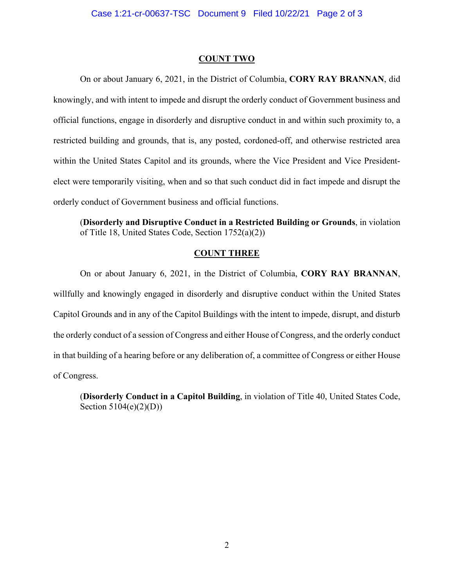#### **COUNT TWO**

On or about January 6, 2021, in the District of Columbia, **CORY RAY BRANNAN**, did knowingly, and with intent to impede and disrupt the orderly conduct of Government business and official functions, engage in disorderly and disruptive conduct in and within such proximity to, a restricted building and grounds, that is, any posted, cordoned-off, and otherwise restricted area within the United States Capitol and its grounds, where the Vice President and Vice Presidentelect were temporarily visiting, when and so that such conduct did in fact impede and disrupt the orderly conduct of Government business and official functions.

(**Disorderly and Disruptive Conduct in a Restricted Building or Grounds**, in violation of Title 18, United States Code, Section 1752(a)(2))

### **COUNT THREE**

On or about January 6, 2021, in the District of Columbia, **CORY RAY BRANNAN**, willfully and knowingly engaged in disorderly and disruptive conduct within the United States Capitol Grounds and in any of the Capitol Buildings with the intent to impede, disrupt, and disturb the orderly conduct of a session of Congress and either House of Congress, and the orderly conduct in that building of a hearing before or any deliberation of, a committee of Congress or either House of Congress.

(**Disorderly Conduct in a Capitol Building**, in violation of Title 40, United States Code, Section  $5104(e)(2)(D)$ )